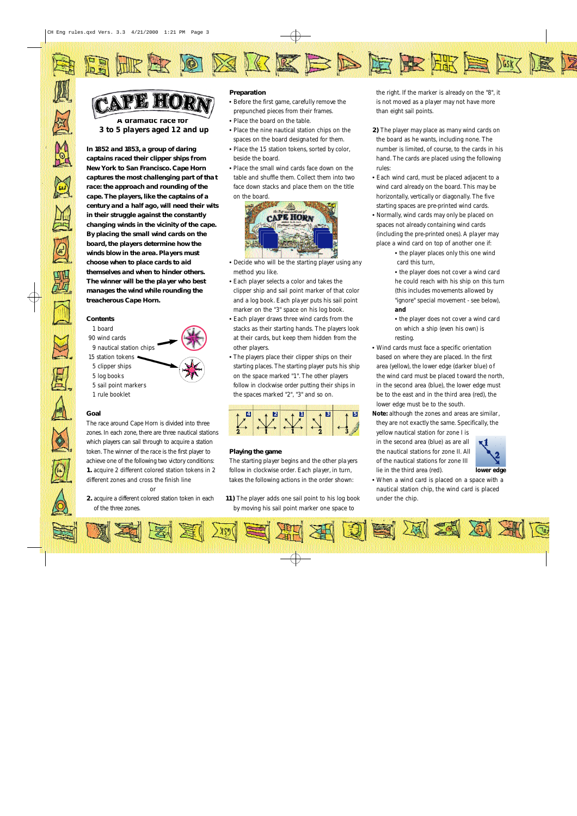

# $\mathbb{Z}$  )  $\partial$  (O)  $\mathbb{R}$

)ot

**A dramatic race for 3 to 5 players aged 12 and up**

**In 1852 and 1853, a group of daring captains raced their clipper ships f rom New York to San Francisco. Cape Horn captures the most challenging part of that race: the approach and rounding of the cape. The players, like the captains of a century and a half ago, will need their wits in their struggle against the constantly changing winds in the vicinity of the cape. By placing the small wind cards on the board, the players determine how the winds blow in the area. Players must choose when to place cards to aid themselves and when to hinder others. The winner will be the player who best manages the wind while rounding the treacherous Cape Horn.**

# **Contents**

- 1 board 90 wind cards
- 9 nautical station chips
- 15 station tokens
- 5 clipper ships
- 5 log books
- 
- 5 sail point markers 1 rule booklet

## **Goal**

The race around Cape Horn is divided into three zones. In each zone, there are three nautical stations which players can sail through to acquire a station token. The winner of the race is the first player to achieve one of the following two victory conditions: **1.** acquire 2 different colored station tokens in 2 different zones and cross the finish line

or 2. acquire a different colored station token in each of the three zones.

#### **Preparation**

• Before the first game, carefully remove the prepunched pieces from their frames.

₹

- Place the board on the table.
- Place the nine nautical station chips on the spaces on the board designated for them.
- Place the 15 station tokens, sorted by color, beside the board.
- Place the small wind cards face down on the table and shuffle them. Collect them into two face down stacks and place them on the title on the board.



- Decide who will be the starting player using any method you like.
- Each player selects a color and takes the clipper ship and sail point marker of that color and a log book. Each player puts his sail point marker on the "3" space on his log book.
- Each player draws three wind cards from the stacks as their starting hands. The players look at their cards, but keep them hidden from the other players.
- $\bullet$  The players place their clipper ships on their starting places. The starting player puts his ship on the space marked "1". The other players follow in clockwise order putting their ships in the spaces marked "2", "3" and so on.



## **Playing the game**

The starting player begins and the other pla yers follow in clockwise order. Each player, in turn, takes the following actions in the order shown:

**11)** The player adds one sail point to his log book by moving his sail point marker one space to

the right. If the marker is already on the "8", it is not moved as a player may not have more than eight sail points.

**DEEEEE** 

**E** 

**2)** The player may place as many wind cards on the board as he wants, including none. The number is limited, of course, to the cards in his hand. The cards are placed using the following rules:

- Each wind card, must be placed adjacent to a wind card already on the board. This may be horizontally, vertically or diagonally. The fiv e starting spaces are pre-printed wind cards.
- Normally, wind cards may only be placed on spaces not already containing wind cards (including the pre-printed ones). A player may place a wind card on top of another one if:
	- the player places only this one wind card this turn,
	- the player does not cover a wind card he could reach with his ship on this turn (this includes movements allowed by "ignore" special movement - see below), **and**
	- the player does not cover a wind card on which a ship (even his own) is resting.
- Wind cards must face a specific orientation based on where they are placed. In the first area (yellow), the lower edge (darker blue) of the wind card must be placed t oward the north, in the second area (blue), the lower edge must be to the east and in the third area (red), the lower edge must be to the south.
- **Note:** although the zones and areas are similar, they are not exactly the same. Specifically, the yellow nautical station for zone I is in the second area (blue) as are all

the nautical stations for zone II. All of the nautical stations for zone III lie in the third area (red).



• When a wind card is placed on a space with a nautical station chip, the wind card is placed under the chip.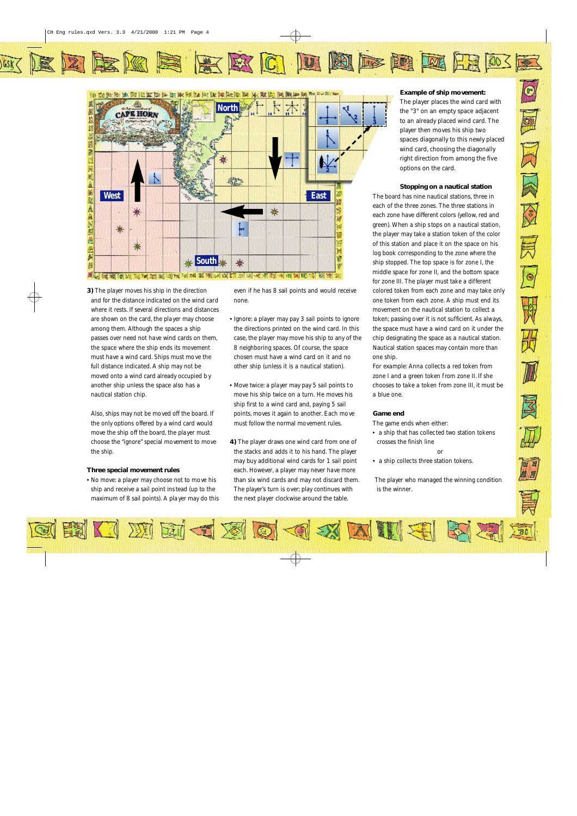GSKZ

# KABME KKO DAF HAHEK



**3)** The player moves his ship in the direction and for the distance indicated on the wind card where it rests. If several directions and distances are shown on the card, the player may choose among them. Although the spaces a ship passes over need not have wind cards on them, the space where the ship ends its movement must have a wind card. Ships must move the full distance indicated. A ship may not be moved onto a wind card already occupied b y another ship unless the space also has a nautical station chip.

Also, ships may not be moved off the board. If the only options offered by a wind card would move the ship off the board, the player must choose the "ignore" special movement to move the ship.

## **Three special movement rules**

• No move: a player may choose not to move his ship and receive a sail point ins tead (up to the maximum of 8 sail points). A pla yer may do this even if he has 8 sail points and would receive none.

- Ignore: a player may pay 3 sail points to ignore the directions printed on the wind card. In this case, the player may move his ship to any of the 8 neighboring spaces. Of course, the space chosen must have a wind card on it and no other ship (unless it is a nautical station).
- Move twice: a player may pay 5 sail points t o move his ship twice on a turn. He moves his ship first to a wind card and, paying 5 sail points, moves it again to another. Each move must follow the normal movement rules.
- **4)** The player draws one wind card from one of the stacks and adds it to his hand. The player may buy additional wind cards for 1 sail point each. However, a player may never have more than six wind cards and may not discard them. The player's turn is over; play continues with the next player clockwise around the table.

**Example of ship movement:**  The player places the wind card with the "3" on an empty space adjacent to an already placed wind card. The player then moves his ship two spaces diagonally to this newly placed wind card, choosing the diagonally right direction from among the five options on the card.

 $\bigcirc$ 

園

 $\vec{z}$ 

网图

一<br>另

 $\boxed{\Theta}$ 

H

册

# **Stopping on a nautical station**

The board has nine nautical stations, three in each of the three zones. The three stations in each zone have different colors (yellow, red and green). When a ship s tops on a nautical station, the player may take a station token of the color of this station and place it on the space on his log book corresponding to the zone where the ship stopped. The top space is for zone I, the middle space for zone II, and the bottom space for zone III. The player must take a different colored token from each zone and may take only one token from each zone. A ship must end its movement on the nautical station to collect a token; passing over it is not sufficient. As always, the space must have a wind card on it under the chip designating the space as a nautical station. Nautical station spaces may contain more than one ship.

For example: Anna collects a red token from zone I and a green token from zone II. If she chooses to take a token from zone III, it must be a blue one.

# **Game end**

The game ends when either: • a ship that has collec ted two station tokens crosses the finish line

• a ship collects three station tokens.

The player who managed the winning condition is the winner.

or